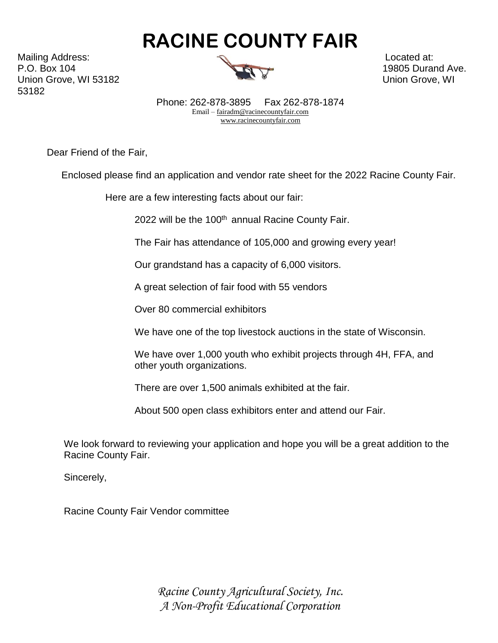Mailing Address: Located at:  $\mathbb{R}$ P.O. Box 104 19805 Durand Ave. Union Grove, WI 53182 Union Grove, WI 53182



Phone: 262-878-3895 Fax 262-878-1874 Email [– fairadm@racinecountyfair.com](mailto:fairadm@racinecountyfair.com)   [www.racinecountyfair.com](http://www.racinecountyfair.com/) 

Dear Friend of the Fair,

Enclosed please find an application and vendor rate sheet for the 2022 Racine County Fair.

Here are a few interesting facts about our fair:

2022 will be the 100<sup>th</sup> annual Racine County Fair.

The Fair has attendance of 105,000 and growing every year!

Our grandstand has a capacity of 6,000 visitors.

A great selection of fair food with 55 vendors

Over 80 commercial exhibitors

We have one of the top livestock auctions in the state of Wisconsin.

We have over 1,000 youth who exhibit projects through 4H, FFA, and other youth organizations.

There are over 1,500 animals exhibited at the fair.

About 500 open class exhibitors enter and attend our Fair.

We look forward to reviewing your application and hope you will be a great addition to the Racine County Fair.

Sincerely,

Racine County Fair Vendor committee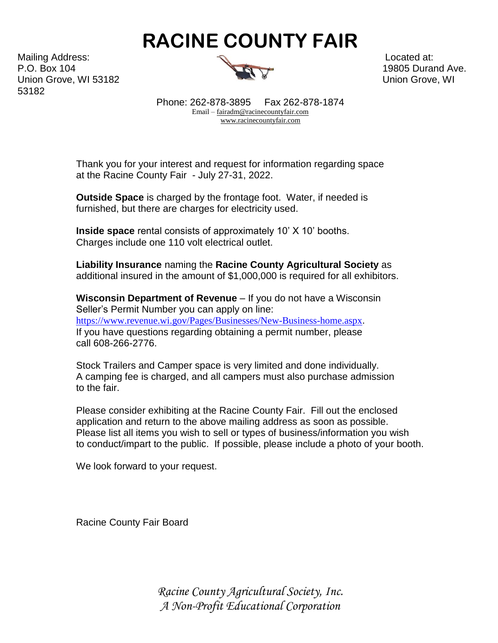Mailing Address: Located at:  $\mathbb{R}$ P.O. Box 104 19805 Durand Ave. Union Grove, WI 53182 Union Grove, WI 53182



Phone: 262-878-3895 Fax 262-878-1874 Email [– fairadm@racinecountyfair.com](mailto:fairadm@racinecountyfair.com)   [www.racinecountyfair.com](http://www.racinecountyfair.com/) 

Thank you for your interest and request for information regarding space at the Racine County Fair - July 27-31, 2022.

**Outside Space** is charged by the frontage foot. Water, if needed is furnished, but there are charges for electricity used.

**Inside space** rental consists of approximately 10' X 10' booths. Charges include one 110 volt electrical outlet.

**Liability Insurance** naming the **Racine County Agricultural Society** as additional insured in the amount of \$1,000,000 is required for all exhibitors.

**Wisconsin Department of Revenue** – If you do not have a Wisconsin Seller's Permit Number you can apply on line: <https://www.revenue.wi.gov/Pages/Businesses/New-Business-home.aspx>. If you have questions regarding obtaining a permit number, please call 608-266-2776.

Stock Trailers and Camper space is very limited and done individually. A camping fee is charged, and all campers must also purchase admission to the fair.

Please consider exhibiting at the Racine County Fair. Fill out the enclosed application and return to the above mailing address as soon as possible. Please list all items you wish to sell or types of business/information you wish to conduct/impart to the public. If possible, please include a photo of your booth.

We look forward to your request.

Racine County Fair Board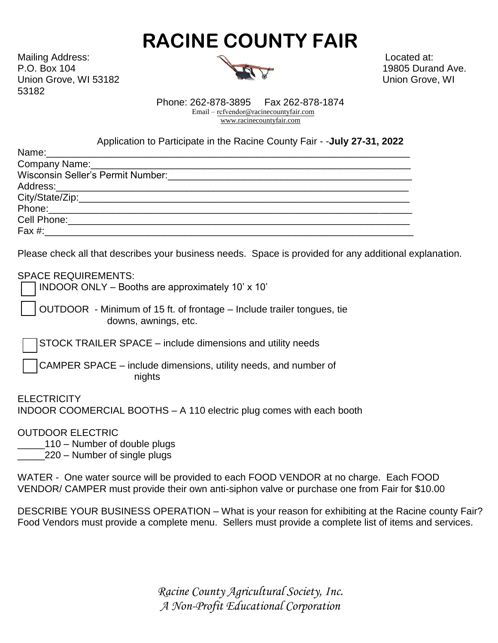Mailing Address: Located at: P.O. Box 104 19805 Durand Ave. Union Grove, WI 53182 Union Grove, WI 53182



Phone: 262-878-3895 Fax 262-878-1874 Email – rcfvendor[@racinecountyfair.com](mailto:fairadm@racinecountyfair.com)  [www.racinecountyfair.com](http://www.racinecountyfair.com/) 

Application to Participate in the Racine County Fair - -**July 27-31, 2022**

Please check all that describes your business needs. Space is provided for any additional explanation.

SPACE REQUIREMENTS:

INDOOR ONLY – Booths are approximately 10' x 10'

OUTDOOR - Minimum of 15 ft. of frontage – Include trailer tongues, tie downs, awnings, etc.

STOCK TRAILER SPACE – include dimensions and utility needs

 CAMPER SPACE – include dimensions, utility needs, and number of nights

**ELECTRICITY** INDOOR COOMERCIAL BOOTHS – A 110 electric plug comes with each booth

OUTDOOR ELECTRIC

\_\_\_\_\_110 – Number of double plugs

\_\_\_\_\_220 – Number of single plugs

WATER - One water source will be provided to each FOOD VENDOR at no charge. Each FOOD VENDOR/ CAMPER must provide their own anti-siphon valve or purchase one from Fair for \$10.00

DESCRIBE YOUR BUSINESS OPERATION – What is your reason for exhibiting at the Racine county Fair? Food Vendors must provide a complete menu. Sellers must provide a complete list of items and services.